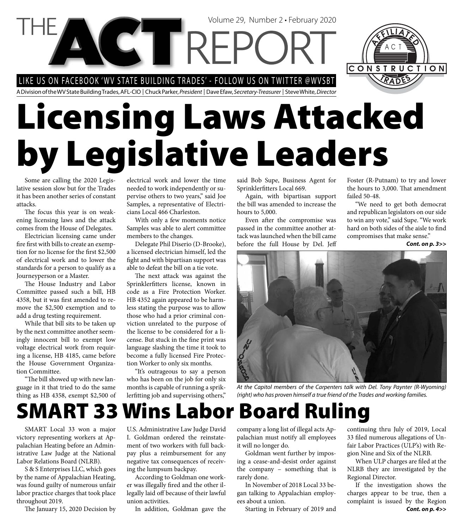LIKE US ON FACEBOOK 'WV STATE BUILDING TRADES' - FOLLOW US ON TWITTER @WVSBT

A Division of the WV State Building Trades, AFL-CIO | Chuck Parker, President | Dave Efaw, Secretary-Treasurer | Steve White, Director

# **Licensing Laws Attacked by Legislative Leaders**

Volume 29, Number 2 • February 2020

Some are calling the 2020 Legislative session slow but for the Trades it has been another series of constant attacks.

The focus this year is on weakening licensing laws and the attack comes from the House of Delegates.

Electrician licensing came under fire first with bills to create an exemption for no license for the first \$2,500 of electrical work and to lower the standards for a person to qualify as a Journeyperson or a Master.

The House Industry and Labor Committee passed such a bill, HB 4358, but it was first amended to remove the \$2,500 exemption and to add a drug testing requirement.

While that bill sits to be taken up by the next committee another seemingly innocent bill to exempt low voltage electrical work from requiring a license, HB 4185, came before the House Government Organization Committee.

"The bill showed up with new language in it that tried to do the same thing as HB 4358, exempt \$2,500 of electrical work and lower the time needed to work independently or supervise others to two years," said Joe Samples, a representative of Electricians Local 466 Charleston.

With only a few moments notice Samples was able to alert committee members to the changes.

Delegate Phil Diserio (D-Brooke), a licensed electrician himself, led the fight and with bipartisan support was able to defeat the bill on a tie vote.

The next attack was against the Sprinklerfitters license, known in code as a Fire Protection Worker. HB 4352 again appeared to be harmless stating the purpose was to allow those who had a prior criminal conviction unrelated to the purpose of the license to be considered for a license. But stuck in the fine print was language slashing the time it took to become a fully licensed Fire Protection Worker to only six months.

"It's outrageous to say a person who has been on the job for only six months is capable of running a spriklerfitting job and supervising others,"

said Bob Supe, Business Agent for Sprinklerfitters Local 669.

Again, with bipartisan support the bill was amended to increase the hours to 5,000.

Even after the compromise was passed in the committee another attack was launched when the bill came before the full House by Del. Jeff Foster (R-Putnam) to try and lower the hours to 3,000. That amendment failed 50-48.

CONSTRUCTION

"We need to get both democrat and republican legislators on our side to win any vote," said Supe. "We work hard on both sides of the aisle to find compromises that make sense."

*Cont. on p. 3>>*



At the Capitol members of the Carpenters talk with Del. Tony Paynter (R-Wyoming) (right) who has proven himself a true friend of the Trades and working families.

# **SMART 33 Wins Labor Board Ruling**

SMART Local 33 won a major victory representing workers at Appalachian Heating before an Administrative Law Judge at the National Labor Relations Board (NLRB).

S & S Enterprises LLC, which goes by the name of Appalachian Heating, was found guilty of numerous unfair labor practice charges that took place throughout 2019.

The January 15, 2020 Decision by

U.S. Administrative Law Judge David I. Goldman ordered the reinstatement of two workers with full backpay plus a reimbursement for any negative tax consequences of receiving the lumpsum backpay.

According to Goldman one worker was illegally fired and the other illegally laid off because of their lawful union activities.

In addition, Goldman gave the

company a long list of illegal acts Appalachian must notify all employees it will no longer do.

Goldman went further by imposing a cease-and-desist order against the company – something that is rarely done.

In November of 2018 Local 33 began talking to Appalachian employees about a union.

Starting in February of 2019 and

continuing thru July of 2019, Local 33 filed numerous allegations of Unfair Labor Practices (ULP's) with Region Nine and Six of the NLRB.

When ULP charges are filed at the NLRB they are investigated by the Regional Director.

If the investigation shows the charges appear to be true, then a complaint is issued by the Region *Cont. on p. 4>>*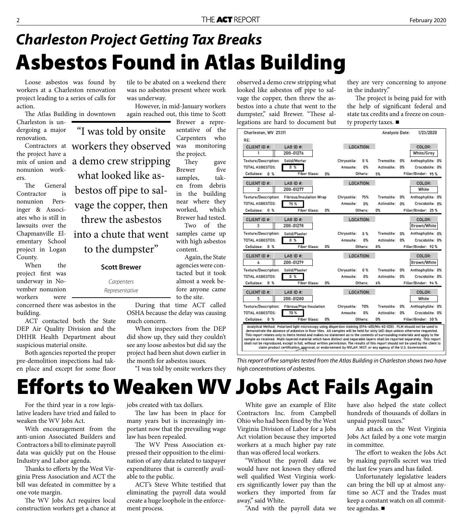# **Asbestos Found in Atlas Building** *Charleston Project Getting Tax Breaks*

Loose asbestos was found by workers at a Charleston renovation project leading to a series of calls for action.

The Atlas Building in downtown

Charleston is undergoing a major renovation.

Contractors at the project have a mix of union and nonunion workers.

The General Contractor is nonunion Persinger & Associates who is still in lawsuits over the Chapmanville Elementary School project in Logan County.

When the project first was underway in November nonunion workers were

concerned there was asbestos in the building.

ACT contacted both the State DEP Air Quality Division and the DHHR Health Department about suspicious material onsite.

Both agencies reported the proper pre-demolition inspections had taken place and except for some floor tile to be abated on a weekend there was no asbestos present where work was underway.

However, in mid-January workers again reached out, this time to Scott

Brewer a representative of the Carpenters who was monitoring the project.

They gave Brewer five samples, taken from debris in the building near where they worked, which Brewer had tested. Two of the samples came up with high asbestos content.

Again, the State agencies were contacted but it took almost a week before anyone came to the site.

During that time ACT called OSHA because the delay was causing much concern.

When inspectors from the DEP did show up, they said they couldn't see any loose asbestos but did say the project had been shut down earlier in the month for asbestos issues.

"I was told by onsite workers they

observed a demo crew stripping what looked like asbestos off pipe to salvage the copper, then threw the asbestos into a chute that went to the dumpster," said Brewer. "These allegations are hard to document but they are very concerning to anyone in the industry."

The project is being paid for with the help of significant federal and state tax credits and a freeze on county property taxes. ■

| Charleston, WV 25311                                                                                                                                                                                                                                                                                                                                                                                                                                                                                                                                                                                                                                                                                                                                                          |                    | Analysis Date: | 1/23/2020               |
|-------------------------------------------------------------------------------------------------------------------------------------------------------------------------------------------------------------------------------------------------------------------------------------------------------------------------------------------------------------------------------------------------------------------------------------------------------------------------------------------------------------------------------------------------------------------------------------------------------------------------------------------------------------------------------------------------------------------------------------------------------------------------------|--------------------|----------------|-------------------------|
| RE:                                                                                                                                                                                                                                                                                                                                                                                                                                                                                                                                                                                                                                                                                                                                                                           |                    |                |                         |
| CLIENT ID #:<br>LAB ID #:                                                                                                                                                                                                                                                                                                                                                                                                                                                                                                                                                                                                                                                                                                                                                     | LOCATION:          |                | COLOR:                  |
| 20B-01276<br>1                                                                                                                                                                                                                                                                                                                                                                                                                                                                                                                                                                                                                                                                                                                                                                |                    |                | White/Grey              |
| Texture/Description:<br>Solid/Mortar                                                                                                                                                                                                                                                                                                                                                                                                                                                                                                                                                                                                                                                                                                                                          | 0 %<br>Chrysotile: | Tremolite:     | 0%<br>Anthophyllite: 0% |
| TOTAL ASBESTOS:<br>0 %                                                                                                                                                                                                                                                                                                                                                                                                                                                                                                                                                                                                                                                                                                                                                        | 0%<br>Amosite:     | Actinolite:    | 0%<br>Crocidolite: 0%   |
| Cellulose:<br><b>Fiber Glass:</b><br>0 <sup>2</sup><br>0%                                                                                                                                                                                                                                                                                                                                                                                                                                                                                                                                                                                                                                                                                                                     | Others:            | 5%             | Filler/Binder: 95 %     |
| <b>CLIENT ID#:</b><br>LAB ID $#$ :                                                                                                                                                                                                                                                                                                                                                                                                                                                                                                                                                                                                                                                                                                                                            | LOCATION:          |                | COLOR:                  |
| 20B-01277<br>2                                                                                                                                                                                                                                                                                                                                                                                                                                                                                                                                                                                                                                                                                                                                                                |                    |                | White                   |
| Texture/Description:<br>Fibrous/Insulation Wrap                                                                                                                                                                                                                                                                                                                                                                                                                                                                                                                                                                                                                                                                                                                               | 75%<br>Chrysotile: | Tremolite:     | 0%<br>Anthophyllite: 0% |
| <b>TOTAL ASBESTOS:</b><br>75 %                                                                                                                                                                                                                                                                                                                                                                                                                                                                                                                                                                                                                                                                                                                                                | Amosite:<br>0%     | Actinolite:    | 0%<br>Crocidolite: 0%   |
| Cellulose:<br>0 <sup>2</sup><br><b>Fiber Glass:</b><br>0%                                                                                                                                                                                                                                                                                                                                                                                                                                                                                                                                                                                                                                                                                                                     | Others:            | 0%             | Filler/Binder: 25 %     |
| LAB ID #:<br><b>CLIENT ID#:</b>                                                                                                                                                                                                                                                                                                                                                                                                                                                                                                                                                                                                                                                                                                                                               | LOCATION:          |                | COLOR:                  |
| 20B-01278<br>3                                                                                                                                                                                                                                                                                                                                                                                                                                                                                                                                                                                                                                                                                                                                                                |                    |                | Brown/White             |
| Texture/Description:<br>Solid/Plaster                                                                                                                                                                                                                                                                                                                                                                                                                                                                                                                                                                                                                                                                                                                                         | Chrysotile:<br>0 % | Tremolite:     | 0%<br>Anthophyllite: 0% |
| 0 <sup>2</sup><br><b>TOTAL ASBESTOS:</b>                                                                                                                                                                                                                                                                                                                                                                                                                                                                                                                                                                                                                                                                                                                                      | 0%<br>Amosite:     | Actinolite:    | 0%<br>Crocidolite: 0%   |
| Cellulose: 0 %<br><b>Fiber Glass:</b><br>0%                                                                                                                                                                                                                                                                                                                                                                                                                                                                                                                                                                                                                                                                                                                                   | Others:            | 8%             | Filler/Binder: 92%      |
| <b>CLIENT ID#:</b><br>LAB ID #:                                                                                                                                                                                                                                                                                                                                                                                                                                                                                                                                                                                                                                                                                                                                               | LOCATION:          |                | COLOR:                  |
| 20B-01279<br>4                                                                                                                                                                                                                                                                                                                                                                                                                                                                                                                                                                                                                                                                                                                                                                |                    |                | Brown/White             |
| Texture/Description:<br>Solid/Plaster                                                                                                                                                                                                                                                                                                                                                                                                                                                                                                                                                                                                                                                                                                                                         | Chrysotile:<br>0 % | Tremolite:     | 0%<br>Anthophyllite: 0% |
| 0 %<br><b>TOTAL ASBESTOS:</b>                                                                                                                                                                                                                                                                                                                                                                                                                                                                                                                                                                                                                                                                                                                                                 | 0%<br>Amosite:     | Actinolite:    | 0%<br>Crocidolite: 0%   |
| Cellulose: 0 %<br><b>Fiber Glass:</b><br>0%                                                                                                                                                                                                                                                                                                                                                                                                                                                                                                                                                                                                                                                                                                                                   | Others:            | 6%             | Filler/Binder: 94 %     |
| <b>CLIENT ID#:</b><br>LAB ID $#$ :                                                                                                                                                                                                                                                                                                                                                                                                                                                                                                                                                                                                                                                                                                                                            | LOCATION:          |                | COLOR:                  |
| 20B-01280<br>5                                                                                                                                                                                                                                                                                                                                                                                                                                                                                                                                                                                                                                                                                                                                                                |                    |                | White                   |
| <b>Texture/Description:</b><br>Fibrous/Pipe Insulation                                                                                                                                                                                                                                                                                                                                                                                                                                                                                                                                                                                                                                                                                                                        | 70%<br>Chrysotile: | Tremolite:     | 0%<br>Anthophyllite: 0% |
| TOTAL ASBESTOS:<br>70 %                                                                                                                                                                                                                                                                                                                                                                                                                                                                                                                                                                                                                                                                                                                                                       | 0%<br>Amosite:     | Actinolite:    | 0%<br>Crocidolite: 0%   |
| Cellulose:<br>0 <sup>2</sup><br><b>Fiber Glass:</b><br>0%                                                                                                                                                                                                                                                                                                                                                                                                                                                                                                                                                                                                                                                                                                                     | Others:            | 0%             | Filler/Binder: 30 %     |
| Analytical Method: Polarized light microscopy using dispersion staining (EPA-600/M4-82-020). PLM should not be used to<br>demonstrate the absence of asbestos in floor tiles. All samples will be held for sixty (60) days unless otherwise requested.<br>This report relates only to items tested and makes no statement as to the contents of surrounding materials and apply to the<br>sample as received. Multi-layered material which have distinct and separable layers shall be reported separately. This report<br>shall not be reproduced, except in full, without written permission. The results of this report should not be used by the client to<br>claim product certification, approval, or endorsement by NVLAP, NIST, or any agency of the U.S. Government. |                    |                |                         |

This report of five samples tested from the Atlas Building in Charleston shows two have high concentrations of asbestos.

# **Eff orts to Weaken WV Jobs Act Fails Again**

For the third year in a row legislative leaders have tried and failed to weaken the WV Jobs Act.

With encouragement from the anti-union Associated Builders and Contractors a bill to eliminate payroll data was quickly put on the House Industry and Labor agenda.

Thanks to efforts by the West Virginia Press Association and ACT the bill was defeated in committee by a one vote margin.

The WV Jobs Act requires local construction workers get a chance at jobs created with tax dollars.

The law has been in place for many years but is increasingly important now that the prevailing wage law has been repealed.

The WV Press Association expressed their opposition to the elimination of any data related to taxpayer expenditures that is currently available to the public.

ACT's Steve White testified that eliminating the payroll data would create a huge loophole in the enforcement process.

White gave an example of Elite Contractors Inc. from Campbell Ohio who had been fined by the West Virginia Division of Labor for a Jobs Act violation because they imported workers at a much higher pay rate than was offered local workers.

"Without the payroll data we would have not known they offered well qualified West Virginia workers significantly lower pay than the workers they imported from far away," said White.

"And with the payroll data we

have also helped the state collect hundreds of thousands of dollars in unpaid payroll taxes."

An attack on the West Virginia Jobs Act failed by a one vote margin in committee.

The effort to weaken the Jobs Act by making payrolls secret was tried the last few years and has failed.

Unfortunately legislative leaders can bring the bill up at almost anytime so ACT and the Trades must keep a constant watch on all committee agendas.

to the dumpster" **Scott Brewer**  Carpenters

"I was told by onsite

workers they observed

a demo crew stripping

what looked like as-

bestos off pipe to sal-

vage the copper, then

threw the asbestos

into a chute that went

Representative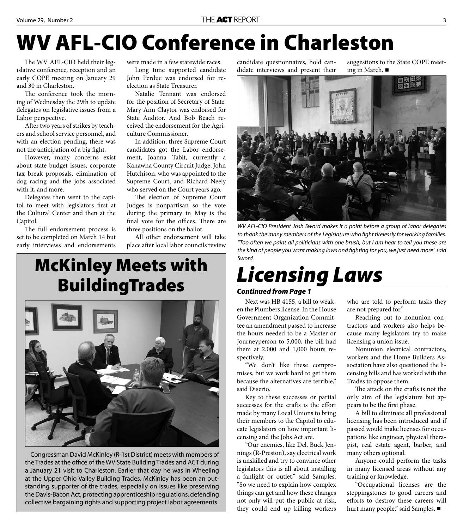# **WV AFL-CIO Conference in Charleston**

The WV AFL-CIO held their legislative conference, reception and an early COPE meeting on January 29 and 30 in Charleston.

The conference took the morning of Wednesday the 29th to update delegates on legislative issues from a Labor perspective.

After two years of strikes by teachers and school service personnel, and with an election pending, there was not the anticipation of a big fight.

However, many concerns exist about state budget issues, corporate tax break proposals, elimination of dog racing and the jobs associated with it, and more.

Delegates then went to the capitol to meet with legislators first at the Cultural Center and then at the Capitol.

The full endorsement process is set to be completed on March 14 but early interviews and endorsements

were made in a few statewide races.

Long time supported candidate John Perdue was endorsed for reelection as State Treasurer.

Natalie Tennant was endorsed for the position of Secretary of State. Mary Ann Claytor was endorsed for State Auditor. And Bob Beach received the endorsement for the Agriculture Commissioner.

In addition, three Supreme Court candidates got the Labor endorsement, Joanna Tabit, currently a Kanawha County Circuit Judge; John Hutchison, who was appointed to the Supreme Court, and Richard Neely who served on the Court years ago.

The election of Supreme Court Judges is nonpartisan so the vote during the primary in May is the final vote for the offices. There are three positions on the ballot.

All other endorsement will take place after local labor councils review

### **McKinley Meets with BuildingTrades**



Congressman David McKinley (R-1st District) meets with members of the Trades at the office of the WV State Building Trades and ACT during a January 21 visit to Charleston. Earlier that day he was in Wheeling at the Upper Ohio Valley Building Trades. McKinley has been an outstanding supporter of the trades, especially on issues like preserving the Davis-Bacon Act, protecting apprenticeship regulations, defending collective bargaining rights and supporting project labor agreements.

candidate questionnaires, hold candidate interviews and present their suggestions to the State COPE meeting in March.



WV AFL-CIO President Josh Sword makes it a point before a group of labor delegates to thank the many members of the Legislature who fight tirelessly for working families. "Too often we paint all politicians with one brush, but I am hear to tell you these are the kind of people you want making laws and fighting for you, we just need more" said Sword.

# *Licensing Laws*

### *Continued from Page 1*

Next was HB 4155, a bill to weaken the Plumbers license. In the House Government Organization Committee an amendment passed to increase the hours needed to be a Master or Journeyperson to 5,000, the bill had them at 2,000 and 1,000 hours respectively.

"We don't like these compromises, but we work hard to get them because the alternatives are terrible," said Diserio.

Key to these successes or partial successes for the crafts is the effort made by many Local Unions to bring their members to the Capitol to educate legislators on how important licensing and the Jobs Act are.

"Our enemies, like Del. Buck Jennings (R-Preston), say electrical work is unskilled and try to convince other legislators this is all about installing a fanlight or outlet," said Samples. "So we need to explain how complex things can get and how these changes not only will put the public at risk, they could end up killing workers

who are told to perform tasks they are not prepared for."

Reaching out to nonunion contractors and workers also helps because many legislators try to make licensing a union issue.

Nonunion electrical contractors, workers and the Home Builders Association have also questioned the licensing bills and has worked with the Trades to oppose them.

The attack on the crafts is not the only aim of the legislature but appears to be the first phase.

A bill to eliminate all professional licensing has been introduced and if passed would make licenses for occupations like engineer, physical therapist, real estate agent, barber, and many others optional.

Anyone could perform the tasks in many licensed areas without any training or knowledge.

"Occupational licenses are the steppingstones to good careers and efforts to destroy these careers will hurt many people," said Samples. ■